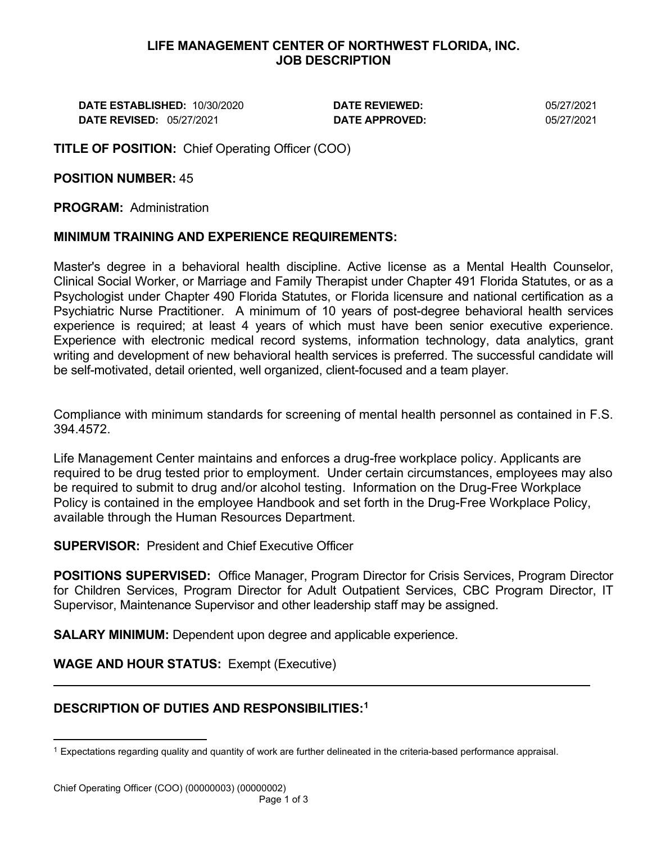#### **LIFE MANAGEMENT CENTER OF NORTHWEST FLORIDA, INC. JOB DESCRIPTION**

**DATE ESTABLISHED:** 10/30/2020 **DATE REVIEWED:** 05/27/2021 **DATE REVISED:** 05/27/2021 **DATE APPROVED:** 05/27/2021

**TITLE OF POSITION:** Chief Operating Officer (COO)

## **POSITION NUMBER:** 45

**PROGRAM:** Administration

### **MINIMUM TRAINING AND EXPERIENCE REQUIREMENTS:**

Master's degree in a behavioral health discipline. Active license as a Mental Health Counselor, Clinical Social Worker, or Marriage and Family Therapist under Chapter 491 Florida Statutes, or as a Psychologist under Chapter 490 Florida Statutes, or Florida licensure and national certification as a Psychiatric Nurse Practitioner. A minimum of 10 years of post-degree behavioral health services experience is required; at least 4 years of which must have been senior executive experience. Experience with electronic medical record systems, information technology, data analytics, grant writing and development of new behavioral health services is preferred. The successful candidate will be self-motivated, detail oriented, well organized, client-focused and a team player.

Compliance with minimum standards for screening of mental health personnel as contained in F.S. 394.4572.

Life Management Center maintains and enforces a drug-free workplace policy. Applicants are required to be drug tested prior to employment. Under certain circumstances, employees may also be required to submit to drug and/or alcohol testing. Information on the Drug-Free Workplace Policy is contained in the employee Handbook and set forth in the Drug-Free Workplace Policy, available through the Human Resources Department.

**SUPERVISOR:** President and Chief Executive Officer

**POSITIONS SUPERVISED:** Office Manager, Program Director for Crisis Services, Program Director for Children Services, Program Director for Adult Outpatient Services, CBC Program Director, IT Supervisor, Maintenance Supervisor and other leadership staff may be assigned.

**SALARY MINIMUM:** Dependent upon degree and applicable experience.

**WAGE AND HOUR STATUS:** Exempt (Executive)

# **DESCRIPTION OF DUTIES AND RESPONSIBILITIES:[1](#page-0-0)**

<span id="page-0-0"></span> $1$  Expectations regarding quality and quantity of work are further delineated in the criteria-based performance appraisal.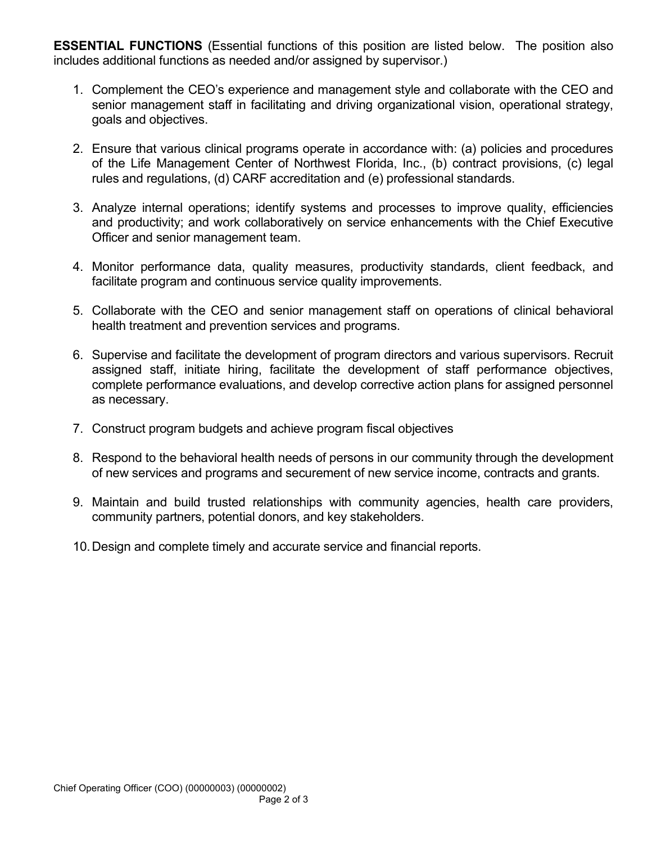**ESSENTIAL FUNCTIONS** (Essential functions of this position are listed below. The position also includes additional functions as needed and/or assigned by supervisor.)

- 1. Complement the CEO's experience and management style and collaborate with the CEO and senior management staff in facilitating and driving organizational vision, operational strategy, goals and objectives.
- 2. Ensure that various clinical programs operate in accordance with: (a) policies and procedures of the Life Management Center of Northwest Florida, Inc., (b) contract provisions, (c) legal rules and regulations, (d) CARF accreditation and (e) professional standards.
- 3. Analyze internal operations; identify systems and processes to improve quality, efficiencies and productivity; and work collaboratively on service enhancements with the Chief Executive Officer and senior management team.
- 4. Monitor performance data, quality measures, productivity standards, client feedback, and facilitate program and continuous service quality improvements.
- 5. Collaborate with the CEO and senior management staff on operations of clinical behavioral health treatment and prevention services and programs.
- 6. Supervise and facilitate the development of program directors and various supervisors. Recruit assigned staff, initiate hiring, facilitate the development of staff performance objectives, complete performance evaluations, and develop corrective action plans for assigned personnel as necessary.
- 7. Construct program budgets and achieve program fiscal objectives
- 8. Respond to the behavioral health needs of persons in our community through the development of new services and programs and securement of new service income, contracts and grants.
- 9. Maintain and build trusted relationships with community agencies, health care providers, community partners, potential donors, and key stakeholders.
- 10.Design and complete timely and accurate service and financial reports.